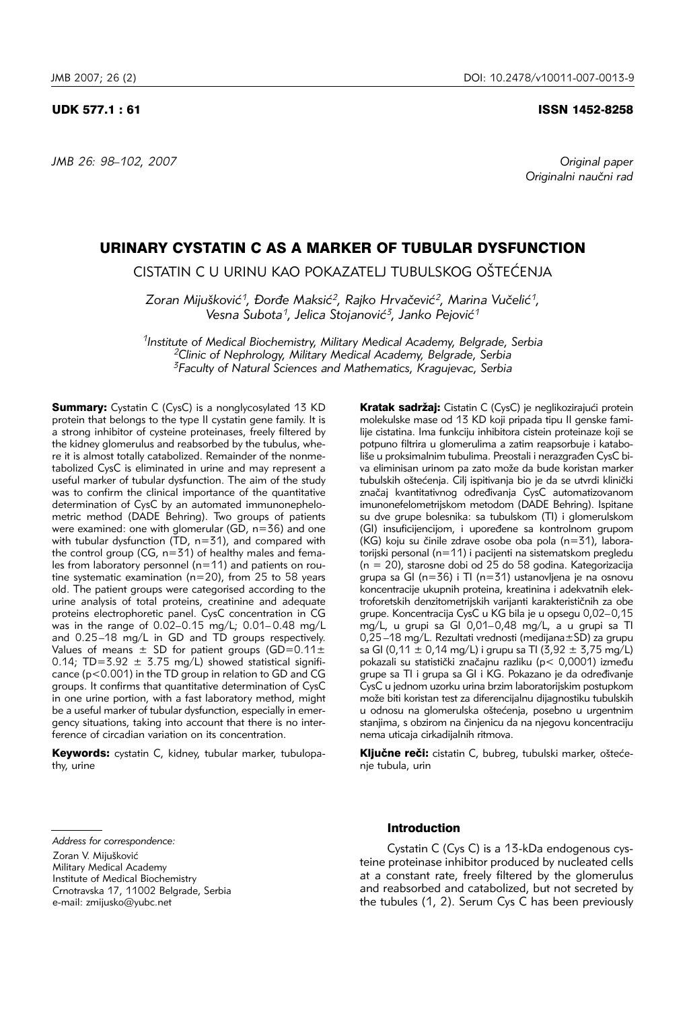*JMB 26: 98–102, 2007 Original paper* 

Originalni naučni rad

# URINARY CYSTATIN C AS A MARKER OF TUBULAR DYSFUNCTION

CISTATIN C U URINU KAO POKAZATELJ TUBULSKOG OŠTEĆENJA

Zoran Mijušković<sup>1</sup>, Đorđe Maksić<sup>2</sup>, Rajko Hrvačević<sup>2</sup>, Marina Vučelić<sup>1</sup>, Vesna Subota<sup>1</sup>, Jelica Stojanović<sup>3</sup>, Janko Pejović<sup>1</sup>

*1Institute of Medical Biochemistry, Military Medical Academy, Belgrade, Serbia 2Clinic of Nephrology, Military Medical Academy, Belgrade, Serbia 3Faculty of Natural Sciences and Mathematics, Kragujevac, Serbia*

**Summary:** Cystatin C (CysC) is a nonglycosylated 13 KD protein that belongs to the type II cystatin gene family. It is a strong inhibitor of cysteine proteinases, freely filtered by the kidney glomerulus and reabsorbed by the tubulus, where it is almost totally catabolized. Remainder of the nonmetabolized CysC is eliminated in urine and may represent a useful marker of tubular dysfunction. The aim of the study was to confirm the clinical importance of the quantitative determination of CysC by an automated immunonephelometric method (DADE Behring). Two groups of patients were examined: one with glomerular ( $G\bar{D}$ , n=36) and one with tubular dysfunction ( $TD$ ,  $n=31$ ), and compared with the control group (CG,  $n=31$ ) of healthy males and females from laboratory personnel (n=11) and patients on routine systematic examination (n=20), from 25 to 58 years old. The patient groups were categorised according to the urine analysis of total proteins, creatinine and adequate proteins electrophoretic panel. CysC concentration in CG was in the range of 0.02–0.15 mg/L; 0.01– 0.48 mg/L and 0.25–18 mg/L in GD and TD groups respectively. Values of means  $\pm$  SD for patient groups (GD=0.11 $\pm$ 0.14; TD=3.92  $\pm$  3.75 mg/L) showed statistical significance (p<0.001) in the TD group in relation to GD and CG groups. It confirms that quantitative determination of CysC in one urine portion, with a fast laboratory method, might be a useful marker of tubular dysfunction, especially in emergency situations, taking into account that there is no interference of circadian variation on its concentration.

Keywords: cystatin C, kidney, tubular marker, tubulopathy, urine

Kratak sadržaj: Cistatin C (CysC) je neglikozirajući protein molekulske mase od 13 KD koji pripada tipu II genske familije cistatina. Ima funkciju inhibitora cistein proteinaze koji se potpuno filtrira u glomerulima a zatim reapsorbuje i kataboliše u proksimalnim tubulima. Preostali i nerazgrađen CysC biva eliminisan urinom pa zato može da bude koristan marker tubulskih oštećenja. Cilj ispitivanja bio je da se utvrdi klinički značaj kvantitativnog određivanja CysC automatizovanom imunonefelometrijskom metodom (DADE Behring). Ispitane su dve grupe bolesnika: sa tubulskom (TI) i glomerulskom (GI) insuficijencijom, i upoređene sa kontrolnom grupom (KG) koju su činile zdrave osobe oba pola (n=31), laboratorijski personal (n=11) i pacijenti na sistematskom pregledu (n = 20), starosne dobi od 25 do 58 godina. Kategorizacija grupa sa GI (n=36) i TI (n=31) ustanovljena je na osnovu koncentracije ukupnih proteina, kreatinina i adekvatnih elektroforetskih denzitometrijskih varijanti karakterističnih za obe grupe. Koncentracija CysC u KG bila je u opsegu 0,02–0,15 mg/L, u grupi sa GI 0,01–0,48 mg/L, a u grupi sa TI 0,25 –18 mg/L. Rezultati vrednosti (medijana±SD) za grupu sa GI (0,11  $\pm$  0,14 mg/L) i grupu sa TI (3,92  $\pm$  3,75 mg/L) pokazali su statistički značajnu razliku (p< 0,0001) između grupe sa TI i grupa sa GI i KG. Pokazano je da određivanje CysC u jednom uzorku urina brzim laboratorijskim postupkom može biti koristan test za diferencijalnu dijagnostiku tubulskih u odnosu na glomerulska oštećenja, posebno u urgentnim stanjima, s obzirom na činjenicu da na njegovu koncentraciju nema uticaja cirkadijalnih ritmova.

Ključne reči: cistatin C, bubreg, tubulski marker, oštećenje tubula, urin

# Introduction

Cystatin C (Cys C) is a 13-kDa endogenous cysteine proteinase inhibitor produced by nucleated cells at a constant rate, freely filtered by the glomerulus and reabsorbed and catabolized, but not secreted by the tubules (1, 2). Serum Cys C has been previously

*Address for correspondence:* 

Zoran V. Mijušković

Military Medical Academy

Institute of Medical Biochemistry

Crnotravska 17, 11002 Belgrade, Serbia

e-mail: zmijusko@yubc.net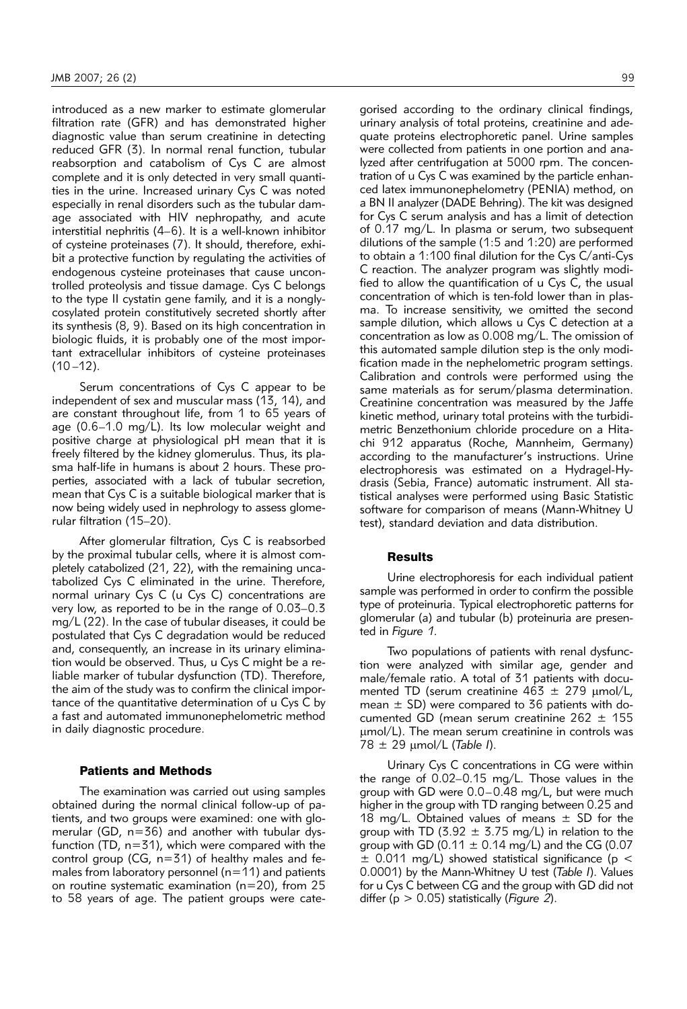introduced as a new marker to estimate glomerular filtration rate (GFR) and has demonstrated higher diagnostic value than serum creatinine in detecting reduced GFR (3). In normal renal function, tubular reabsorption and catabolism of Cys C are almost complete and it is only detected in very small quantities in the urine. Increased urinary Cys C was noted especially in renal disorders such as the tubular damage associated with HIV nephropathy, and acute interstitial nephritis (4–6). It is a well-known inhibitor of cysteine proteinases (7). It should, therefore, exhibit a protective function by regulating the activities of endogenous cysteine proteinases that cause uncontrolled proteolysis and tissue damage. Cys C belongs to the type II cystatin gene family, and it is a nonglycosylated protein constitutively secreted shortly after its synthesis (8, 9). Based on its high concentration in biologic fluids, it is probably one of the most important extracellular inhibitors of cysteine proteinases  $(10 - 12)$ .

Serum concentrations of Cys C appear to be independent of sex and muscular mass (13, 14), and are constant throughout life, from 1 to 65 years of age (0.6–1.0 mg/L). Its low molecular weight and positive charge at physiological pH mean that it is freely filtered by the kidney glomerulus. Thus, its plasma half-life in humans is about 2 hours. These properties, associated with a lack of tubular secretion, mean that Cys C is a suitable biological marker that is now being widely used in nephrology to assess glomerular filtration (15–20).

After glomerular filtration, Cys C is reabsorbed by the proximal tubular cells, where it is almost completely catabolized (21, 22), with the remaining uncatabolized Cys C eliminated in the urine. Therefore, normal urinary Cys C (u Cys C) concentrations are very low, as reported to be in the range of 0.03–0.3 mg/L (22). In the case of tubular diseases, it could be postulated that Cys C degradation would be reduced and, consequently, an increase in its urinary elimination would be observed. Thus, u Cys C might be a reliable marker of tubular dysfunction (TD). Therefore, the aim of the study was to confirm the clinical importance of the quantitative determination of u Cys C by a fast and automated immunonephelometric method in daily diagnostic procedure.

## Patients and Methods

The examination was carried out using samples obtained during the normal clinical follow-up of patients, and two groups were examined: one with glomerular (GD, n=36) and another with tubular dysfunction (TD,  $n=31$ ), which were compared with the control group (CG, n=31) of healthy males and females from laboratory personnel ( $n=11$ ) and patients on routine systematic examination (n=20), from 25 to 58 years of age. The patient groups were cate-

gorised according to the ordinary clinical findings, urinary analysis of total proteins, creatinine and adequate proteins electrophoretic panel. Urine samples were collected from patients in one portion and analyzed after centrifugation at 5000 rpm. The concentration of u Cys C was examined by the particle enhanced latex immunonephelometry (PENIA) method, on a BN II analyzer (DADE Behring). The kit was designed for Cys C serum analysis and has a limit of detection of 0.17 mg/L. In plasma or serum, two subsequent dilutions of the sample (1:5 and 1:20) are performed to obtain a 1:100 final dilution for the Cys C/anti-Cys C reaction. The analyzer program was slightly modified to allow the quantification of u Cys C, the usual concentration of which is ten-fold lower than in plasma. To increase sensitivity, we omitted the second sample dilution, which allows u Cys C detection at a concentration as low as 0.008 mg/L. The omission of this automated sample dilution step is the only modification made in the nephelometric program settings. Calibration and controls were performed using the same materials as for serum/plasma determination. Creatinine concentration was measured by the Jaffe kinetic method, urinary total proteins with the turbidimetric Benzethonium chloride procedure on a Hitachi 912 apparatus (Roche, Mannheim, Germany) according to the manufacturer's instructions. Urine electrophoresis was estimated on a Hydragel-Hydrasis (Sebia, France) automatic instrument. All statistical analyses were performed using Basic Statistic software for comparison of means (Mann-Whitney U test), standard deviation and data distribution.

#### **Results**

Urine electrophoresis for each individual patient sample was performed in order to confirm the possible type of proteinuria. Typical electrophoretic patterns for glomerular (a) and tubular (b) proteinuria are presented in *Figure 1*.

Two populations of patients with renal dysfunction were analyzed with similar age, gender and male/female ratio. A total of 31 patients with documented TD (serum creatinine  $463 \pm 279$  µmol/L, mean  $\pm$  SD) were compared to 36 patients with documented GD (mean serum creatinine  $262 \pm 155$ μmol/L). The mean serum creatinine in controls was 78 ± 29 μmol/L (*Table I*).

Urinary Cys C concentrations in CG were within the range of 0.02–0.15 mg/L. Those values in the group with GD were 0.0–0.48 mg/L, but were much higher in the group with TD ranging between 0.25 and 18 mg/L. Obtained values of means  $\pm$  SD for the group with TD (3.92  $\pm$  3.75 mg/L) in relation to the group with GD (0.11  $\pm$  0.14 mg/L) and the CG (0.07  $\pm$  0.011 mg/L) showed statistical significance (p < 0.0001) by the Mann-Whitney U test (*Table I*). Values for u Cys C between CG and the group with GD did not differ (p > 0.05) statistically (*Figure 2*).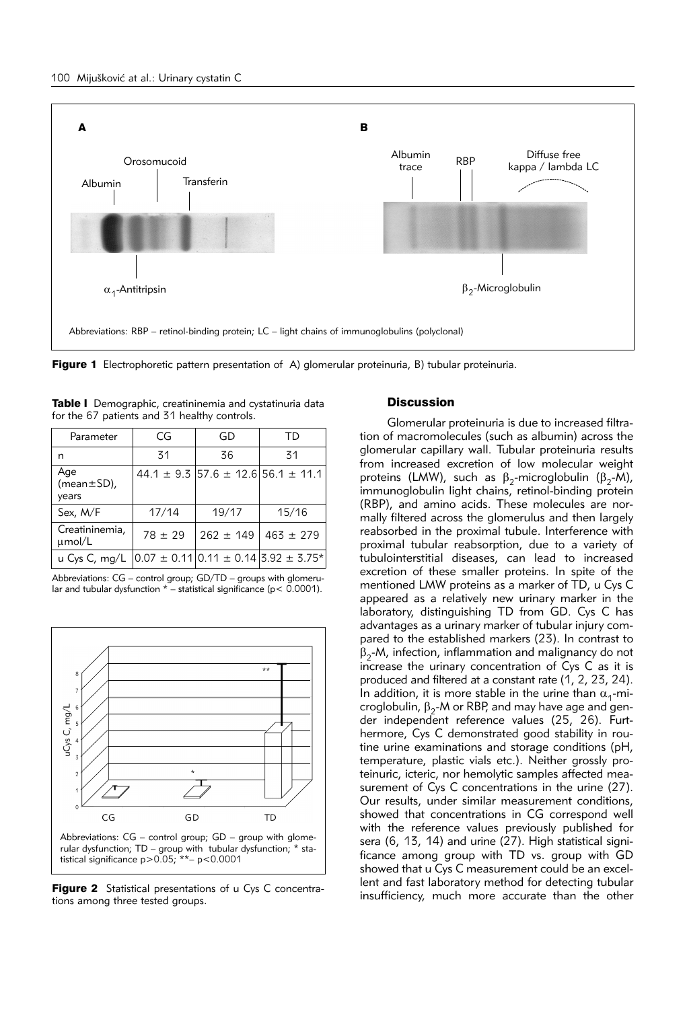

Figure 1 Electrophoretic pattern presentation of A) glomerular proteinuria, B) tubular proteinuria.

| Table I Demographic, creatininemia and cystatinuria data |        |  |  |  |  |  |
|----------------------------------------------------------|--------|--|--|--|--|--|
| for the 67 patients and 31 healthy controls.             |        |  |  |  |  |  |
|                                                          | $\sim$ |  |  |  |  |  |

| Parameter                         | CG          | GD            | ΤD                                                                     |
|-----------------------------------|-------------|---------------|------------------------------------------------------------------------|
| n                                 | 31          | 36            | 31                                                                     |
| Age<br>$(mean \pm SD)$ ,<br>years |             |               | $44.1 \pm 9.3$ 57.6 $\pm$ 12.6 56.1 $\pm$ 11.1                         |
| Sex, M/F                          | 17/14       | 19/17         | 15/16                                                                  |
| Creatininemia,<br>umol/L          | $78 \pm 29$ | $262 \pm 149$ | $463 \pm 279$                                                          |
| u Cys C, $mq/L$                   |             |               | $0.07 \pm 0.11 \times 0.11 \pm 0.14 \times 0.92 \pm 3.75$ <sup>*</sup> |

Abbreviations: CG – control group; GD/TD – groups with glomerular and tubular dysfunction  $*$  – statistical significance ( $p < 0.0001$ ).



Figure 2 Statistical presentations of u Cys C concentrations among three tested groups.

## **Discussion**

Glomerular proteinuria is due to increased filtration of macromolecules (such as albumin) across the glomerular capillary wall. Tubular proteinuria results from increased excretion of low molecular weight proteins (LMW), such as  $\beta_2$ -microglobulin ( $\beta_2$ -M), immunoglobulin light chains, retinol-binding protein (RBP), and amino acids. These molecules are normally filtered across the glomerulus and then largely reabsorbed in the proximal tubule. Interference with proximal tubular reabsorption, due to a variety of tubulointerstitial diseases, can lead to increased excretion of these smaller proteins. In spite of the mentioned LMW proteins as a marker of TD, u Cys C appeared as a relatively new urinary marker in the laboratory, distinguishing TD from GD. Cys C has advantages as a urinary marker of tubular injury compared to the established markers (23). In contrast to  $\beta_{2}$ -M, infection, inflammation and malignancy do not increase the urinary concentration of Cys C as it is produced and filtered at a constant rate (1, 2, 23, 24). In addition, it is more stable in the urine than  $\alpha_1$ -microglobulin,  $β_2$ -M or RBP, and may have age and gender independent reference values (25, 26). Furthermore, Cys C demonstrated good stability in routine urine examinations and storage conditions (pH, temperature, plastic vials etc.). Neither grossly proteinuric, icteric, nor hemolytic samples affected measurement of Cys C concentrations in the urine (27). Our results, under similar measurement conditions, showed that concentrations in CG correspond well with the reference values previously published for sera (6, 13, 14) and urine (27). High statistical significance among group with TD vs. group with GD showed that u Cys C measurement could be an excellent and fast laboratory method for detecting tubular insufficiency, much more accurate than the other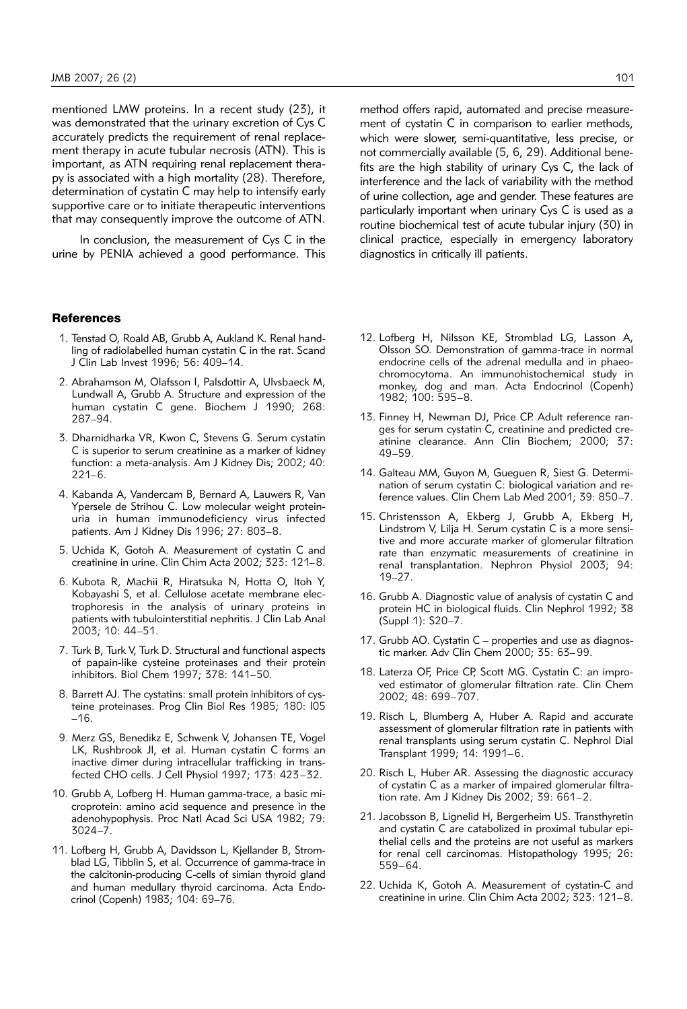mentioned LMW proteins. In a recent study (23), it was demonstrated that the urinary excretion of Cys C accurately predicts the requirement of renal replacement therapy in acute tubular necrosis (ATN). This is important, as ATN requiring renal replacement therapy is associated with a high mortality (28). Therefore, determination of cystatin C may help to intensify early supportive care or to initiate therapeutic interventions that may consequently improve the outcome of ATN.

In conclusion, the measurement of Cys C in the urine by PENIA achieved a good performance. This

#### References

- 1. Tenstad O, Roald AB, Grubb A, Aukland K. Renal handling of radiolabelled human cystatin C in the rat. Scand J Clin Lab Invest 1996; 56: 409–14.
- 2. Abrahamson M, Olafsson I, Palsdottir A, Ulvsbaeck M, Lundwall A, Grubb A. Structure and expression of the human cystatin C gene. Biochem J 1990; 268: 287–94.
- 3. Dharnidharka VR, Kwon C, Stevens G. Serum cystatin C is superior to serum creatinine as a marker of kidney function: a meta-analysis. Am J Kidney Dis; 2002; 40: 221–6.
- 4. Kabanda A, Vandercam B, Bernard A, Lauwers R, Van Ypersele de Strihou C. Low molecular weight proteinuria in human immunodeficiency virus infected patients. Am J Kidney Dis 1996; 27: 803–8.
- 5. Uchida K, Gotoh A. Measurement of cystatin C and creatinine in urine. Clin Chim Acta 2002; 323: 121–8.
- 6. Kubota R, Machii R, Hiratsuka N, Hotta O, Itoh Y, Kobayashi S, et al. Cellulose acetate membrane electrophoresis in the analysis of urinary proteins in patients with tubulointerstitial nephritis. J Clin Lab Anal 2003; 10: 44–51.
- 7. Turk B, Turk V, Turk D. Structural and functional aspects of papain-like cysteine proteinases and their protein inhibitors. Biol Chem 1997; 378: 141–50.
- 8. Barrett AJ. The cystatins: small protein inhibitors of cysteine proteinases. Prog Clin Biol Res 1985; 180: l05 –16.
- 9. Merz GS, Benedikz E, Schwenk V, Johansen TE, Vogel LK, Rushbrook Jl, et al. Human cystatin C forms an inactive dimer during intracellular trafficking in transfected CHO cells. J Cell Physiol 1997; 173: 423–32.
- 10. Grubb A, Lofberg H. Human gamma-trace, a basic microprotein: amino acid sequence and presence in the adenohypophysis. Proc Natl Acad Sci USA 1982; 79: 3024–7.
- 11. Lofberg H, Grubb A, Davidsson L, Kjellander B, Stromblad LG, Tibblin S, et al. Occurrence of gamma-trace in the calcitonin-producing C-cells of simian thyroid gland and human medullary thyroid carcinoma. Acta Endocrinol (Copenh) 1983; 104: 69–76.

method offers rapid, automated and precise measurement of cystatin C in comparison to earlier methods, which were slower, semi-quantitative, less precise, or not commercially available (5, 6, 29). Additional benefits are the high stability of urinary Cys C, the lack of interference and the lack of variability with the method of urine collection, age and gender. These features are particularly important when urinary Cys C is used as a routine biochemical test of acute tubular injury (30) in clinical practice, especially in emergency laboratory diagnostics in critically ill patients.

- 12. Lofberg H, Nilsson KE, Stromblad LG, Lasson A, Olsson SO. Demonstration of gamma-trace in normal endocrine cells of the adrenal medulla and in phaeochromocytoma. An immunohistochemical study in monkey, dog and man. Acta Endocrinol (Copenh) 1982; 100: 595–8.
- 13. Finney H, Newman DJ, Price CP. Adult reference ranges for serum cystatin C, creatinine and predicted creatinine clearance. Ann Clin Biochem; 2000; 37: 49–59.
- 14. Galteau MM, Guyon M, Gueguen R, Siest G. Determination of serum cystatin C: biological variation and reference values. Clin Chem Lab Med 2001; 39: 850–7.
- 15. Christensson A, Ekberg J, Grubb A, Ekberg H, Lindstrom V, Lilja H. Serum cystatin C is a more sensitive and more accurate marker of glomerular filtration rate than enzymatic measurements of creatinine in renal transplantation. Nephron Physiol 2003; 94: 19–27.
- 16. Grubb A. Diagnostic value of analysis of cystatin C and protein HC in biological fluids. Clin Nephrol 1992; 38 (Suppl 1): S20–7.
- 17. Grubb AO. Cystatin C properties and use as diagnostic marker. Adv Clin Chem 2000; 35: 63–99.
- 18. Laterza OF, Price CP, Scott MG. Cystatin C: an improved estimator of glomerular filtration rate. Clin Chem 2002; 48: 699–707.
- 19. Risch L, Blumberg A, Huber A. Rapid and accurate assessment of glomerular filtration rate in patients with renal transplants using serum cystatin C. Nephrol Dial Transplant 1999; 14: 1991–6.
- 20. Risch L, Huber AR. Assessing the diagnostic accuracy of cystatin C as a marker of impaired glomerular filtration rate. Am J Kidney Dis 2002; 39: 661–2.
- 21. Jacobsson B, Lignelid H, Bergerheim US. Transthyretin and cystatin C are catabolized in proximal tubular epithelial cells and the proteins are not useful as markers for renal cell carcinomas. Histopathology 1995; 26: 559–64.
- 22. Uchida K, Gotoh A. Measurement of cystatin-C and creatinine in urine. Clin Chim Acta 2002; 323: 121–8.